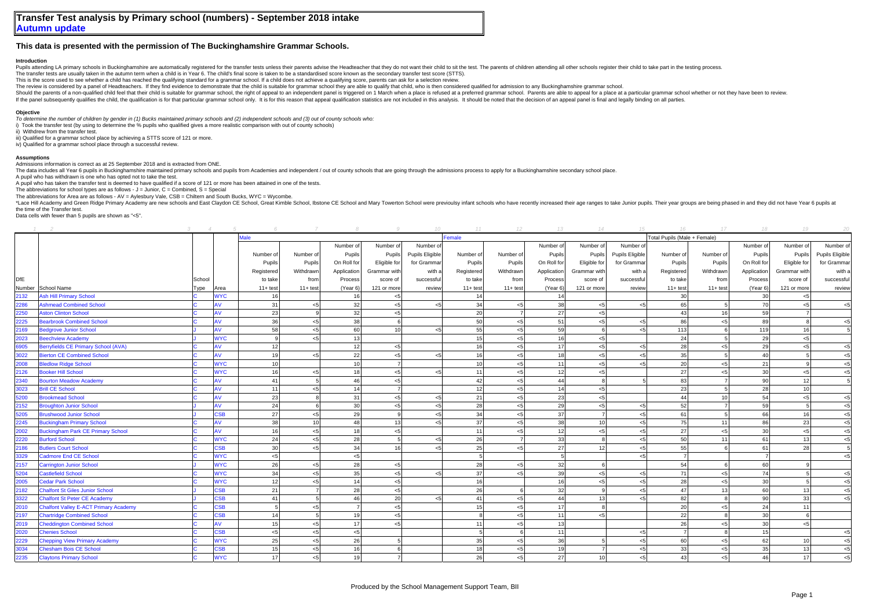## **This data is presented with the permission of The Buckinghamshire Grammar Schools.**

## **Introduction**

Pupils attending LA primary schools in Buckinghamshire are automatically registered for the transfer tests unless their parents advise the Headteacher that they do not want their child to sit the test. The parents of child

The transfer tests are usually taken in the autumn term when a child is in Year 6. The child's final score is taken to be a standardised score known as the secondary transfer test score (STTS). This is the score used to see whether a child has reached the qualifying standard for a grammar school. If a child does not achieve a qualifying score, parents can ask for a selection review.

The review is considered by a papel of Headteachers. If they find evidence to demonstrate that the child is suitable for grammar school they are able to qualify that child. who is then considered qualified for admission to

Should the parents of a non-qualified child feel that their child is suitable for grammar school, the right of appeal to an independent panel is triggered on 1 March when a place is refused at a preferred grammar school. P If the panel subsequently qualifies the child, the qualification is for that particular grammar school only. It is for this reason that appeal qualification statistics are not included in this analysis. It should be noted

## **Objective**

*To determine the number of children by gender in (1) Bucks maintained primary schools and (2) independent schools and (3) out of county schools who:*

i) Took the transfer test (by using to determine the % pupils who qualified gives a more realistic comparison with out of county schools)

ii) Withdrew from the transfer test.

iii) Qualified for a grammar school place by achieving a STTS score of 121 or more.

iv) Qualified for a grammar school place through a successful review.

## **Assumptions**

Admissions information is correct as at 25 September 2018 and is extracted from ONE.

The data includes all Year 6 pupils in Buckinghamshire maintained primary schools and pupils from Academies and independent / out of county schools that are going through the admissions process to apply for a Buckinghamshi

A pupil who has withdrawn is one who has opted not to take the test.

A pupil who has taken the transfer test is deemed to have qualified if a score of 121 or more has been attained in one of the tests.

The abbreviations for school types are as follows -  $J =$  Junior,  $C =$  Combined,  $S =$  Special

The abbreviations for Area are as follows - AV = Aylesbury Vale, CSB = Chiltern and South Bucks, WYC = Wycombe.

\*Lace Hill Academy and Green Ridge Primary Academy are new schools and East Claydon CE School, Great Kimble School, Ibstone CE School, abstone CE School, and Mary Towerton School wree previoulsy infant schools who have rec the time of the Transfer test.

Data cells with fewer than 5 pupils are shown as "<5".

|      |                                              |        |            |            |                 |                |                | 10              |             | $11$ $12$  | 13          | 14              | 15              | 16                           |                 | 17 18           | 19              | - 20            |
|------|----------------------------------------------|--------|------------|------------|-----------------|----------------|----------------|-----------------|-------------|------------|-------------|-----------------|-----------------|------------------------------|-----------------|-----------------|-----------------|-----------------|
|      |                                              |        |            |            |                 |                |                |                 | Female      |            |             |                 |                 | Total Pupils (Male + Female) |                 |                 |                 |                 |
|      |                                              |        |            |            |                 | Number of      | Number of      | Number of       |             |            | Number of   | Number of       | Number of       |                              |                 | Number of       | Number of       | Number of       |
|      |                                              |        |            | Number of  | Number of       | Pupils         | Pupils         | Pupils Eligible | Number of   | Number of  | Pupils      | Pupils          | Pupils Eligible | Number of                    | Number of       | Pupils          | Pupils          | Pupils Eligible |
|      |                                              |        |            | Pupils     | Pupils          | On Roll for    | Eligible for   | for Grammar     | Pupils      | Pupils     | On Roll for | Eligible for    | for Grammar     | Pupils                       | Pupils          | On Roll for     | Eligible for    | for Grammar     |
|      |                                              |        |            | Registered | Withdrawn       | Application    | Grammar with   | with a          | Registered  | Withdrawn  | Application | Grammar with    | with a          | Registered                   | Withdrawn       | Application     | Grammar with    | with a          |
| DfE  |                                              | School |            | to take    | from            | Process        | score of       | successful      | to take     | from       | Process     | score of        | successful      | to take                      | from            | Process         | score of        | successful      |
|      | Number School Name                           | Type   | Area       | $11+ test$ | $11+ test$      | (Year 6)       | 121 or more    | review          | $11 + test$ | $11+ test$ | (Year 6)    | 121 or more     | review          | $11+ test$                   | $11 + test$     | (Year 6)        | 121 or more     | review          |
| 2132 | <b>Ash Hill Primary School</b>               |        | <b>WYC</b> | 16         |                 | 16             | $< 5$          |                 | 14          |            | 14          |                 |                 | 30 <sup>1</sup>              |                 | 30              | < 5             |                 |
| 2286 | <b>Ashmead Combined School</b>               |        | AV         | 31         | < 5             | 32             | $< 5$          | $\leq$ 5        | 34          | < 5        | 38          | < 5             | < 5             | 65                           |                 | 70              | < 5             | $<$ 5           |
| 2250 | <b>Aston Clinton School</b>                  |        | AV         | 23         |                 | 32             | < 5            |                 | 20          |            | 27          | < 5             |                 | 43                           | 16              | 59              |                 |                 |
| 2225 | <b>Bearbrook Combined School</b>             |        | AV         | 36         | $<$ 5           | 38             | 6              |                 | 50          | < 5        | 51          | < 5             | 5               | 86                           |                 | 89              |                 | < 5             |
| 2169 | <b>Bedgrove Junior School</b>                |        | AV         | 58         | $<$ 5           | 60             | 10             | < 5             | 55          | < 5        | 59          |                 | 5               | 113                          |                 | 119             | 16              |                 |
| 2023 | <b>Beechview Academy</b>                     |        | <b>WYC</b> | q          | < 5             | 13             |                |                 | 15          | < 5        | 16          | < 5             |                 | 24                           |                 | 29              | < 5             |                 |
| 6905 | Berryfields CE Primary School (AVA)          |        | AV         | 12         |                 | 12             | $< 5$          |                 | 16          | 5<         | 17          | < 5             | $< 5$           | 28                           | < 5             | 29              | < 5             | $<$ 5           |
| 3022 | <b>Bierton CE Combined School</b>            |        | <b>AV</b>  | 19         | < 5             | 22             | < 5            | $<$ 5           | 16          | < 5        | 18          | < 5             | 5<              | 35                           |                 | 40              |                 | < 5             |
| 2008 | <b>Bledlow Ridge School</b>                  |        | <b>WYC</b> | 10         |                 | 10             | $\overline{7}$ |                 | 10          | < 5        | 11          | < 5             | 5               | 20                           | < 5             | 21              |                 | $< 5$           |
| 2126 | <b>Booker Hill School</b>                    |        | <b>WYC</b> | 16         | < 5             | 18             | < 5            | $\epsilon$ 5    | 11          | < 5        | 12          | 5 <sub>5</sub>  |                 | 27                           | 5 <sub>5</sub>  | 30 <sup>1</sup> | < 5             | < 5             |
| 2340 | <b>Bourton Meadow Academy</b>                |        | AV         | 41         |                 | 46             | < 5            |                 | 42          | < 5        | 44          |                 |                 | 83                           |                 | 90              | 12              |                 |
| 3023 | <b>Brill CE School</b>                       |        | AV         | 11         | $<$ 5           | 14             | $\overline{7}$ |                 | 12          | < 5        | 14          | < 5             |                 | 23                           |                 | 28              | 10              |                 |
| 5200 | <b>Brookmead School</b>                      |        | AV         | 23         |                 | 31             | $< 5$          | $<$ 5           | 21          | < 5        | 23          | < 5             |                 | 44                           | 10 <sup>1</sup> | 54              | $<$ 5           | $<$ 5           |
| 2152 | <b>Broughton Junior School</b>               |        | AV         | 24         |                 | 30             | $< 5$          | $<$ 5           | 28          | < 5        | 29          | < 5             | 5               | 52                           |                 | 59              |                 | $<$ 5           |
| 5205 | <b>Brushwood Junior School</b>               |        | <b>CSB</b> | 27         | < 5             | 29             | 9              | $<$ 5           | 34          | < 5        | 37          | $\overline{7}$  | $< 5$           | 61                           |                 | 66              | 16              | < 5             |
| 2245 | <b>Buckingham Primary School</b>             |        | <b>AV</b>  | 38         | 10 <sup>1</sup> | 48             | 13             | $<$ 5           | 37          | < 5        | 38          | 10 <sup>1</sup> | < 5             | 75                           | 11              | 86              | 23              | < 5             |
| 2002 | <b>Buckingham Park CE Primary School</b>     |        | AV         | 16         | $<$ 5           | 18             | $< 5$          |                 | 11          | < 5        | 12          | < 5             | <5              | 27                           | < 5             | 30              | < 5             | < 5             |
| 2220 | <b>Burford School</b>                        |        | <b>WYC</b> | 24         | < 5             | 28             | $\overline{5}$ | $<$ 5           | 26          |            | 33          |                 | < 5             | 50                           | 11              | 61              | 13              | < 5             |
| 2186 | <b>Butlers Court School</b>                  |        | <b>CSB</b> | 30         | $<$ 5           | 34             | 16             | $\epsilon$ 5    | 25          | < 5        | 27          | 12              | <5              | 55                           |                 | 61              | 28              |                 |
| 3329 | <b>Cadmore End CE School</b>                 |        | <b>WYC</b> | < 5        |                 | < 5            |                |                 |             |            |             |                 | $\leq$          |                              |                 |                 |                 | < 5             |
| 2157 | <b>Carrington Junior School</b>              |        | <b>WYC</b> | 26         | < 5             | 28             | $< 5$          |                 | 28          | < 5        | 32          |                 |                 | 54                           |                 | 60              |                 |                 |
| 5204 | Castlefield School                           |        | <b>WYC</b> | 34         | < 5             | 35             | $< 5$          | $\epsilon$ 5    | 37          | < 5        | 39          | < 5             | <5              | 71                           | < 5             | 74              |                 | $<$ 5           |
| 2005 | <b>Cedar Park School</b>                     |        | <b>WYC</b> | 12         | < 5             | 14             | < 5            |                 | 16          |            | 16          | <5              | < 5             | 28                           | < 5             | 30              |                 | < 5             |
| 2182 | <b>Chalfont St Giles Junior School</b>       |        | SSB        | 21         |                 | 28             | $< 5$          |                 | 26          |            | 32          |                 | 5               | 47                           | 13              | 60              | 13              | $<$ 5           |
| 3322 | <b>Chalfont St Peter CE Academy</b>          |        | <b>CSB</b> | 41         |                 | 46             | 20             | $\epsilon$ 5    | 41          | < 5        | 44          | 13              | 5               | 82                           |                 | 90              | 33              | $<$ 5           |
| 2010 | <b>Chalfont Valley E-ACT Primary Academy</b> |        | SSB        | 5          | $<$ 5           | $\overline{7}$ | $< 5$          |                 | 15          | < 5        | 17          |                 |                 | 20                           | <5              | 24              | 11              |                 |
| 2197 | <b>Chartridge Combined School</b>            |        | <b>CSB</b> | 14         |                 | 19             | $< 5$          |                 |             | < 5        | 11          | < 5             |                 | 22                           |                 | 30              |                 |                 |
| 2019 | <b>Cheddington Combined School</b>           |        | AV         | 15         | $<$ 5           | 17             | $< 5$          |                 | 11          | 5<         | 13          |                 |                 | 26                           | < 5             | 30              | < 5             |                 |
| 2020 | <b>Chenies School</b>                        |        | <b>CSB</b> | < 5        | $<$ 5           | < 5            |                |                 |             |            | 11          |                 | 5               |                              |                 | 15              |                 | $<$ 5           |
| 2229 | <b>Chepping View Primary Academy</b>         |        | <b>WYC</b> | 25         | < 5             | 26             | 5              |                 | 35          | < 5        | 36          |                 | < 5             | 60                           | < 5             | 62              | 10 <sup>1</sup> | < 5             |
| 3034 | <b>Chesham Bois CE School</b>                |        | <b>CSB</b> | 15         | $<$ 5           | 16             | 6              |                 | 18          | < 5        | 19          |                 | 5               | 33                           | < 5             | 35              | 13              | $<$ 5           |
| 2235 | <b>Claytons Primary School</b>               |        | <b>WYC</b> | 17         | < 5             | 19             |                |                 | 26          | < 5        | 27          | 10 <sup>1</sup> | $5$             | 43                           | $<$ 5           | 46              | 17              | $<$ 5           |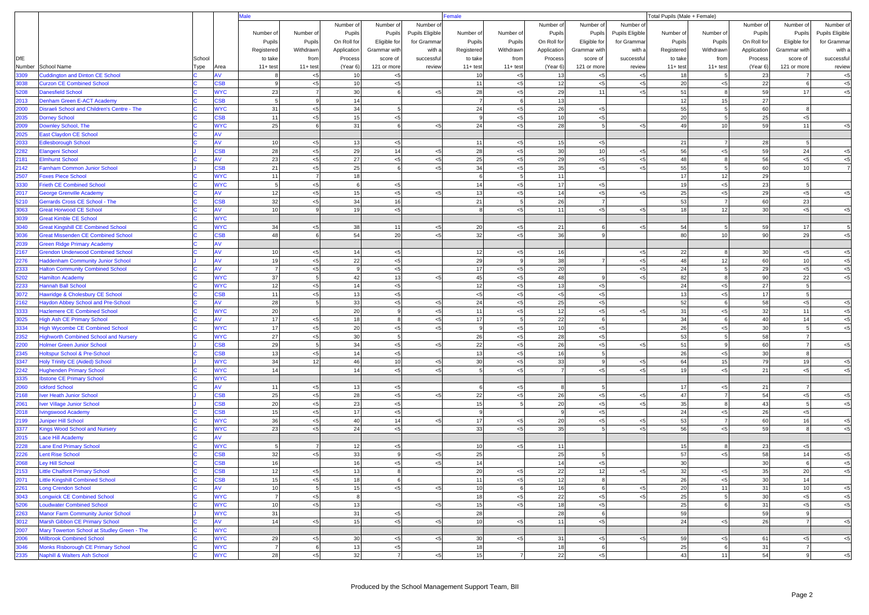|              |                                                                                        |        |                         | lale            |            |                |                |                 |                 | Total Pupils (Male + Female)<br>Female |              |                 |                 |            |                 |             |                |                        |  |
|--------------|----------------------------------------------------------------------------------------|--------|-------------------------|-----------------|------------|----------------|----------------|-----------------|-----------------|----------------------------------------|--------------|-----------------|-----------------|------------|-----------------|-------------|----------------|------------------------|--|
|              |                                                                                        |        |                         |                 |            | Number of      | Number of      | Number o        |                 |                                        | Number of    | Number of       | Number of       |            |                 | Number of   | Number of      | Number of              |  |
|              |                                                                                        |        |                         | Number of       | Number of  | Pupils         | Pupils         | Pupils Eligible | Number of       | Number of                              | Pupils       | Pupils          | Pupils Eligible | Number of  | Number of       | Pupils      | Pupils         | <b>Pupils Eligible</b> |  |
|              |                                                                                        |        |                         | Pupils          | Pupils     | On Roll for    | Eligible for   | for Gramma      | Pupils          | Pupils                                 | On Roll for  | Eligible for    | for Grammar     | Pupils     | Pupils          | On Roll for | Eligible for   | for Gramma             |  |
|              |                                                                                        |        |                         | Registered      | Withdrawn  | Application    | Grammar with   | with a          | Registered      | Withdrawn                              | Application  | Grammar with    | with a          | Registered | Withdrawn       | Application | Grammar with   | with a                 |  |
| <b>DfE</b>   |                                                                                        | School |                         | to take         | from       | Process        | score of       | successful      | to take         | from                                   | Process      | score of        | successful      | to take    | from            | Process     | score of       | successful             |  |
|              | Number School Name                                                                     | Type   | Area                    | $11+ test$      | $11+ test$ | (Year 6)       | 121 or more    | review          | $11 + test$     | $11 + test$                            | (Year 6)     | 121 or more     | review          | $11+ test$ | $11 + test$     | (Year 6)    | 121 or more    | review                 |  |
| 3309         | <b>Cuddington and Dinton CE School</b>                                                 |        | AV                      |                 | < 5        | 10             | $< 5\,$        |                 | 10              | $< 5\,$                                | 13           | $< 5$           | $< 5$           | 18         | $\overline{5}$  | 23          |                | $< 5$                  |  |
| 3038         | <b>Curzon CE Combined School</b>                                                       |        | SSB                     | 9               | < 5        | 10             | < 5            |                 | 11              | $< 5$                                  | 12           | $< 5$           | $< 5$           | 20         | < 5             | 22          | 6              | $< 5$                  |  |
| 5208         | <b>Danesfield School</b>                                                               |        | <b>WYC</b>              | 23              |            | 30             | 6              | < 5             | 28              | $< 5$                                  | 29           | 11              | 5               | 51         | 8               | 59          | 17             | < 5                    |  |
| 2013         | Denham Green E-ACT Academy                                                             |        | <b>SB</b>               |                 |            | 14             |                |                 | $\overline{7}$  |                                        | 13           |                 |                 | 12         | 15              | 27          |                |                        |  |
| 2000         | Disraeli School and Children's Centre - The                                            |        | <b>WYC</b>              | 31              | < 5        | 34             | 5              |                 | 24              | $< 5$                                  | 26           | $< 5$           |                 | 55         | -5              | 60          | 8              |                        |  |
| 2035         | <b>Dorney School</b>                                                                   |        | <b>SB</b>               | 11              | < 5        | 15             | < 5            |                 | $\mathbf{q}$    | $< 5$                                  | 10           | $< 5$           |                 | 20         | 5               | 25          | $<$ 5          |                        |  |
| 2009         | Downley School, The                                                                    |        | <b>WYC</b>              | 25              |            | 31             | 6              | < 5             | 24              | < 5                                    | 28           | $5\overline{5}$ | < 5             | 49         | 10 <sup>1</sup> | 59          | 11             | $\leq$                 |  |
| 2025         | <b>East Claydon CE School</b>                                                          |        | AV                      |                 |            |                |                |                 |                 |                                        |              |                 |                 |            |                 |             |                |                        |  |
| 2033         | <b>Edlesborough School</b>                                                             |        | <b>AV</b>               | 10              | < 5        | 13             | < 5            |                 | 11              | $< 5$                                  | 15           | < 5             |                 | 21         | $\overline{7}$  | 28          | 5 <sup>1</sup> |                        |  |
| 2282         | Elangeni School                                                                        |        | S <sub>B</sub>          | 28              | $5$        | 29             | 14             | $<$ 5           | 28              | ${<}5$                                 | 30           | 10              | $< \! 5$        | 56         | $< 5$           | 59          | 24             | $< 5$                  |  |
| 2181         | <b>Elmhurst School</b>                                                                 |        | AV                      | 23              | < 5        | 27             | < 5            | $\leq$ 5        | 25              | $< 5$                                  | 29           | $< 5$           | $5$             | 48         | 8               | 56          | $<$ 5          | $<$ 5                  |  |
| 2142         | Farnham Common Junior School                                                           |        | <b>CSB</b>              | 21              | < 5        | 25             | 6              | < 5             | 34              | $< 5\,$                                | 35           | $< 5$           | 5               | 55         | $\overline{5}$  | 60          | 10             |                        |  |
| 2507         | <b>Foxes Piece School</b>                                                              |        | <b>WYC</b>              | 11              |            | 18             |                |                 | 6               | 5                                      | 11           |                 |                 | 17         | 12              | 29          |                |                        |  |
| 3330         | <b>Frieth CE Combined School</b>                                                       |        | <b>WYC</b>              | 5               | < 5        | 6              | < 5            |                 | 14              | $< 5\,$                                | 17           | $< 5$           |                 | 19         | < 5             | 23          | 5 <sup>1</sup> |                        |  |
| 2017         | <b>George Grenville Academy</b>                                                        |        | AV                      | 12              | < 5        | 15             | < 5            | 55              | 13              | $< 5$                                  | 14           | $< 5$           | $5$             | 25         | < 5             | 29          | $< 5$          | < 5                    |  |
| 5210         | Gerrards Cross CE School - The                                                         |        | SSB                     | 32              | < 5        | 34             | 16             |                 | 21              |                                        | 26           | $\overline{7}$  |                 | 53         | $\overline{7}$  | 60          | 23             |                        |  |
| 3063<br>3039 | <b>Great Horwood CE School</b>                                                         |        | AV<br><b>WYC</b>        | 10              |            | 19             | < 5            |                 |                 | $< 5\,$                                | 11           | $< 5$           | $< 5$           | 18         | 12              | 30          | $< 5$          | < 5                    |  |
|              | <b>Great Kimble CE School</b>                                                          |        |                         |                 |            |                |                |                 |                 |                                        |              | $\epsilon$      |                 |            | 5               |             |                | 5                      |  |
| 3040<br>3036 | <b>Great Kingshill CE Combined School</b><br><b>Great Missenden CE Combined School</b> |        | <b>WYC</b><br><b>SB</b> | 34<br>48        | < 5        | 38<br>54       | 11<br>20       | < 5<br>< 5      | 20<br>32        | $< 5\,$<br>$< 5$                       | 21<br>36     | -9              | $5$             | 54<br>80   | 10              | 59<br>90    | 17<br>29       | $<$ 5                  |  |
| 2039         | <b>Green Ridge Primary Academy</b>                                                     |        |                         |                 |            |                |                |                 |                 |                                        |              |                 |                 |            |                 |             |                |                        |  |
| 2167         | <b>Grendon Underwood Combined School</b>                                               |        | AV                      | 10              | < 5        | 14             | < 5            |                 | 12              | $< 5\,$                                | 16           |                 | $5$             | 22         | 8               | 30          | $< 5$          | $< 5$                  |  |
| 2276         | <b>Haddenham Community Junior School</b>                                               |        | <b>AV</b>               | 19              | < 5        | 22             | < 5            |                 | 29              | 9                                      | 38           | $\overline{7}$  | $< 5$           | 48         | 12              | 60          | 10             | $< 5$                  |  |
| 2333         | <b>Halton Community Combined School</b>                                                |        |                         | $\overline{7}$  | < 5        | $\overline{9}$ | < 5            |                 | 17              | $< 5\,$                                | 20           |                 | ${<}5$          | 24         | 5               | 29          | $< 5$          | $< 5$                  |  |
| 5202         | <b>Hamilton Academy</b>                                                                |        | <b>WYC</b>              | 37              |            | 42             | 13             | < 5             | 45              | $< 5\,$                                | 48           | <b>q</b>        | 5               | 82         |                 | 90          | 22             | $\leq$                 |  |
| 2233         | <b>Hannah Ball School</b>                                                              |        | <b>WYC</b>              | 12              | < 5        | 14             | < 5            |                 | 12              | ${<}5$                                 | 13           | $< 5$           |                 | 24         | $< 5$           | 27          | 5 <sub>5</sub> |                        |  |
| 3072         | Hawridge & Cholesbury CE School                                                        |        | 38B                     | 11              | < 5        | 13             | $<$ 5          |                 | $< 5$           | $< 5\,$                                | $<$ 5        | < 5             |                 | 13         | < 5             | 17          | 5              |                        |  |
| 2162         | <b>Haydon Abbey School and Pre-School</b>                                              |        | AV                      | 28              |            | 33             | $<$ 5          | $<$ 5           | 24              | ${<}5$                                 | 25           | $< 5$           |                 | 52         | 6               | 58          | $< 5$          | $<$ 5                  |  |
| 3333         | <b>Hazlemere CE Combined School</b>                                                    |        | <b>WYC</b>              | 20              |            | 20             | 9              | < 5             | 11              | $< 5\,$                                | 12           | $< 5$           | $5$             | 31         | < 5             | 32          | 11             | $<$ 5                  |  |
| 3025         | <b>High Ash CE Primary School</b>                                                      |        | AV                      | 17              | < 5        | 18             | 8              | < 5             | 17              | 5                                      | 22           | 6               |                 | 34         | 6               | 40          | 14             | $< 5$                  |  |
| 3334         | <b>High Wycombe CE Combined School</b>                                                 |        | <b>WYC</b>              | 17              | < 5        | 20             | < 5            | $<$ 5           | 9               | ${<}5$                                 | 10           | $< 5$           |                 | 26         | < 5             | 30          | 5 <sub>l</sub> | < 5                    |  |
| 2352         | <b>Highworth Combined School and Nursery</b>                                           |        | <b>WYC</b>              | 27              | $5$        | 30             | 5 <sub>5</sub> |                 | 26              | ${<}5$                                 | 28           | $< 5$           |                 | 53         |                 | 58          |                |                        |  |
| 2200         | <b>Holmer Green Junior School</b>                                                      |        | SSB                     | 29              |            | 34             | < 5            | < 5             | 22              | $< 5\,$                                | 26           | $< 5\,$         | $5$             | 51         | $\mathbf{Q}$    | 60          | $\overline{7}$ | $< 5$                  |  |
| 2345         | Holtspur School & Pre-School                                                           |        | SSB                     | 13              | < 5        | 14             | $<$ 5          |                 | 13              | ${<}5$                                 | 16           | 5               |                 | 26         | < 5             | 30          | 8              |                        |  |
| 3347         | <b>Holy Trinity CE (Aided) School</b>                                                  |        | <b>WYC</b>              | 34              | 12         | 46             | 10             | $<$ 5           | 30              | $< 5\,$                                | 33           | 9               | $< 5\,$         | 64         | 15              | 79          | 19             | $< 5$                  |  |
| 2242         | <b>Hughenden Primary School</b>                                                        |        | <b>WYC</b>              | 14              |            | 14             | < 5            | $\leq$ 5        | 5               | $<$ 5                                  |              | $< 5$           | 5               | 19         | < 5             | 21          | $<$ 5          | $\leq$                 |  |
| 3335         | <b>Ibstone CE Primary School</b>                                                       |        | <b>WYC</b>              |                 |            |                |                |                 |                 |                                        |              |                 |                 |            |                 |             |                |                        |  |
| 2060         | <b>Ickford School</b>                                                                  |        | AV                      | 11              | < 5        | 13             | < 5            |                 | 6               | $< 5\,$                                | 8            | 5               |                 | 17         | $< 5$           | 21          | $\overline{7}$ |                        |  |
| 2168         | Iver Heath Junior School                                                               |        | <b>SB</b>               | 25              | < 5        | 28             | $< 5$          | < 5             | 22              | ${<}5$                                 | 26           | $< 5\,$         | $5$             | 47         |                 | 54          | $< 5$          | $< 5$                  |  |
| 2061         | <b>Iver Village Junior School</b>                                                      |        | <b>SB</b>               | 20              | < 5        | 23             | < 5            |                 | 15              |                                        | 20           | $< 5\,$         | $5$             | 35         | 8               | 43          | $\overline{5}$ | < 5                    |  |
| 2018         | <b>Ivingswood Academy</b>                                                              |        | <b>SB</b>               | 15              | < 5        | 17             | $<$ 5          |                 | -9              |                                        | $\mathbf{Q}$ | $< 5$           |                 | 24         | < 5             | 26          | $< 5$          |                        |  |
| 2199         | <b>Juniper Hill School</b>                                                             |        | <b>WYC</b>              | 36              | < 5        | 40             | 14             | $<$ 5           | 17              | $< 5\,$                                | 20           | $< 5$           | $< 5\,$         | 53         | $\overline{7}$  | 60          | 16             | $< 5$                  |  |
| 3377         | <b>Kings Wood School and Nursery</b>                                                   |        | <b>WYC</b>              | 23              | < 5        | 24             | < 5            |                 | 33              | $< 5$                                  | 35           |                 | $5$             | 56         | < 5             | 59          |                | $<$ 5                  |  |
| 2015         | Lace Hill Academy                                                                      |        | AV                      |                 |            |                |                |                 |                 |                                        |              |                 |                 |            |                 |             |                |                        |  |
| 2228         | Lane End Primary School                                                                |        | <b>WYC</b>              |                 |            | 12             | < 5            |                 | 10              | < 5                                    | 11           |                 |                 | 15         | 8               | 23          | < 5            |                        |  |
| 2226         | <b>Lent Rise School</b>                                                                |        | SB                      | 32              | < 5        | 33             | 9              | < 5             | 25              |                                        | 25           | -5              |                 | 57         | < 5             | 58          | 14             | $< 5$                  |  |
| 2068         | <b>Ley Hill School</b>                                                                 |        | <b>SB</b>               | 16              |            | 16             | < 5            | $5$             | 14              |                                        | 14           | $< 5\,$         |                 | 30         |                 | 30          | 6              | < 5                    |  |
| 2153         | <b>Little Chalfont Primary School</b>                                                  |        | <b>CSB</b>              | 12              | < 5        | 13             | 8              |                 | 20              | < 5                                    | 22           | 12              | $< 5\,$         | 32         | < 5             | 35          | 20             | $< 5$                  |  |
| 2071         | <b>Little Kingshill Combined School</b>                                                |        | <b>CSB</b>              | 15              | < 5        | 18             | 6              |                 | 11              | < 5                                    | 12           | 8               |                 | 26         | $< 5$           | 30          | 14             |                        |  |
| 2261         | <b>Long Crendon School</b>                                                             |        | AV                      | 10 <sup>1</sup> |            | 15             | < 5            | $<$ 5           | 10              | 6                                      | 16           | 6               | $<$ 5           | 20         | 11              | 31          | 10             | $< 5$                  |  |
| 3043         | <b>Longwick CE Combined School</b>                                                     |        | <b>WYC</b>              | $\overline{7}$  | < 5        | 8              |                |                 | 18              | < 5                                    | 22           | $< 5$           | $5$             | 25         | 5 <sup>1</sup>  | 30          | < 5            | $< 5$                  |  |
| 5206         | <b>Loudwater Combined School</b>                                                       |        | <b>WYC</b>              | 10 <sup>1</sup> | < 5        | 13             |                | < 5             | 15              | < 5                                    | 18           | $< 5$           |                 | 25         | 6               | 31          | $< 5$          | $< 5$                  |  |
| 2263         | <b>Manor Farm Community Junior School</b>                                              |        | <b>WYC</b>              | 31              |            | 31             | < 5            |                 | 28              |                                        | 28           | 6               |                 | 59         |                 | 59          | -9             |                        |  |
| 3012         | Marsh Gibbon CE Primary School                                                         |        | AV                      | 14              | < 5        | 15             | < 5            | $<$ 5           | 10              | < 5                                    | 11           | $< 5$           |                 | 24         | < 5             | 26          | $\overline{7}$ | $<$ 5                  |  |
| 2007         | Mary Towerton School at Studley Green - The                                            |        | <b>WYC</b>              |                 |            |                |                |                 |                 |                                        |              |                 |                 |            |                 |             |                |                        |  |
| 2006         | <b>Millbrook Combined School</b>                                                       |        | <b>WYC</b>              | 29              | < 5        | 30             | < 5            | $<$ 5           | 30 <sup>1</sup> | < 5                                    | 31           | $< 5$           | $5$             | 59         | < 5             | 61          | < 5            | $<$ 5                  |  |
| 3046         | Monks Risborough CE Primary School                                                     |        | <b>WYC</b>              | $\overline{7}$  | 6          | 13             | < 5            |                 | 18              |                                        | 18           | 6               |                 | 25         | 6               | 31          | $\overline{7}$ |                        |  |
| 2335         | Naphill & Walters Ash School                                                           |        | <b>WYC</b>              | 28              | < 5        | 32             | $\overline{7}$ | $< 5$           | 15              |                                        | 22           | $< 5$           |                 | 43         | 11              | 54          | 9              | $< 5$                  |  |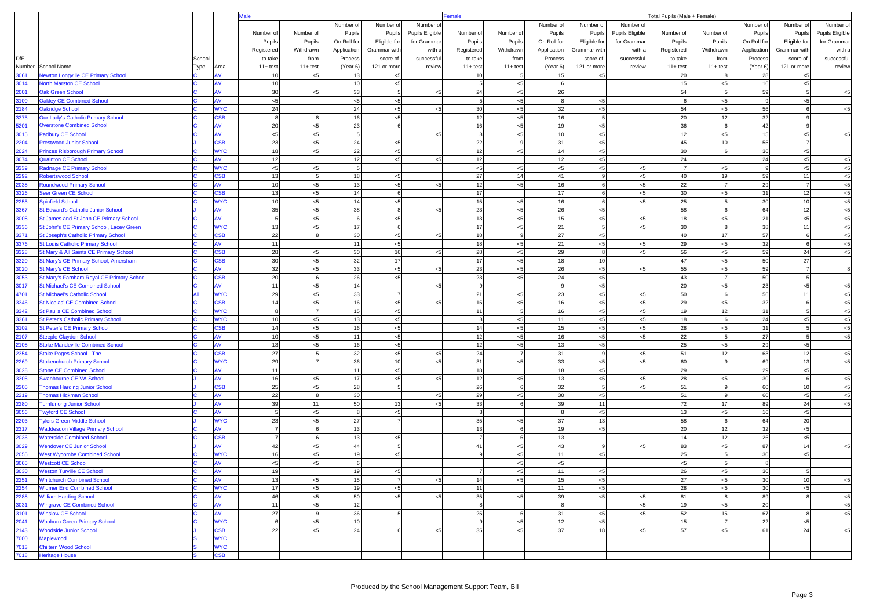|              |                                                              |        |                           |                |            |              |                |                 | emale          |                   |              |                  |                        | Total Pupils (Male + Female) |                |             |                |                 |  |
|--------------|--------------------------------------------------------------|--------|---------------------------|----------------|------------|--------------|----------------|-----------------|----------------|-------------------|--------------|------------------|------------------------|------------------------------|----------------|-------------|----------------|-----------------|--|
|              |                                                              |        |                           |                |            | Number of    | Number of      | Number o        |                |                   | Number of    | Number of        | Number of              |                              |                | Number of   | Number of      | Number of       |  |
|              |                                                              |        |                           | Number of      | Number of  | Pupils       | Pupils         | Pupils Eligible | Number of      | Number of         | Pupils       | Pupils           | <b>Pupils Eligible</b> | Number of                    | Number of      | Pupils      | Pupils         | Pupils Eligible |  |
|              |                                                              |        |                           | Pupils         | Pupils     | On Roll for  | Eligible for   | for Gramma      | Pupils         | Pupils            | On Roll for  | Eligible for     | for Grammar            | Pupils                       | Pupils         | On Roll for | Eligible for   | for Gramma      |  |
|              |                                                              |        |                           | Registered     | Withdrawn  | Application  | Grammar with   | with a          | Registered     | Withdrawn         | Application  | Grammar with     | with a                 | Registered                   | Withdrawn      | Application | Grammar with   | with a          |  |
| DfE          |                                                              | School |                           | to take        | from       | Process      | score of       | successful      | to take        | from              | Process      | score of         | successful             | to take                      | from           | Process     | score of       | successful      |  |
| Number       | School Name                                                  | Type   | Area                      | $11 + test$    | $11+ test$ | (Year 6)     | 121 or more    | review          | $11 + test$    | $11+ test$        | (Year 6)     | 121 or more      | review                 | $11+$ test                   | $11+ test$     | (Year 6)    | 121 or more    | review          |  |
| 3061         | <b>Newton Longville CE Primary School</b>                    |        | AV                        | 10             | < 5        | 13           | $< 5$          |                 | 10             | 5                 | 15           | < 5              |                        | 20                           |                | 28          | < 5            |                 |  |
| 3014         | <b>North Marston CE School</b>                               |        | ۹V                        | 10             |            | 10           | $<$ 5          |                 | 5              | $< \! 5$          | 6            |                  |                        | 15                           | $< 5$          | 16          | $< 5$          |                 |  |
| 2001         | <b>Oak Green School</b>                                      |        | ۹V                        | 30             | < 5        | 33           | 5 <sub>5</sub> | $\leq$ 5        | 24             | $< 5$             | 26           |                  |                        | 54                           | 5              | 59          | 5              | $5$             |  |
| 3100         | <b>Oakley CE Combined School</b>                             |        | ۹V                        | $< 5$          |            | $< 5\,$      | < 5            |                 |                | $< \! 5$          |              | < 5              |                        |                              | $< 5$          |             | $< 5$          |                 |  |
| 2184         | <b>Oakridge School</b>                                       |        | <b>WYC</b>                | 24             |            | 24           | < 5            |                 | 30             | $< 5$             | 32           | $< 5$            |                        | 54                           | $< 5$          | 56          | 6              | $5$             |  |
| 3375         | <b>Our Lady's Catholic Primary School</b>                    |        | $\overline{\mathsf{S}}$ B | 8              |            | 16           | < 5            |                 | 12             | $< 5$             | 16           | 5                |                        | 20                           | 12             | 32          | 9              |                 |  |
| 5201         | <b>Overstone Combined School</b>                             |        | ١V                        | 20             | < 5        | 23           | 6              |                 | 16             | $<\!\!5$          | 19           | < 5              |                        | 36                           |                | 42          | 9              |                 |  |
| 3015         | <b>Padbury CE School</b>                                     |        | AV                        | $< 5$          | < 5        | 5            |                |                 |                | $< 5$             | 10           | < 5              |                        | 12                           | < 5            | 15          | < 5            | $5$             |  |
| 2204         | <b>Prestwood Junior School</b>                               |        | SSB                       | 23             | < 5        | 24           | < 5            |                 | 22             | 9                 | 31           | < 5              |                        | 45                           | 10             | 55          | $\overline{7}$ |                 |  |
| 2024         | <b>Princes Risborough Primary School</b>                     |        | <b>MAC</b>                | 18             | < 5        | 22           | < 5            |                 | 12             | $< 5$             | 14           | < 5              |                        | 30                           |                | 36          | < 5            |                 |  |
| 3074         | <b>Quainton CE School</b>                                    |        | ٨V                        | 12             |            | 12           | $< 5$          |                 | 12             |                   | 12           | < 5              |                        | 24                           |                | 24          | $< 5$          | $< 5$           |  |
| 3339         | Radnage CE Primary School                                    |        | <b>WYC</b>                | $< 5\,$        | < 5        | 5            |                |                 | $< 5$          | $< 5$             | $< 5$        | < 5              | $< 5$                  |                              | $< 5$          |             | $< 5$          | $< 5$           |  |
| 2292         | <b>Robertswood School</b>                                    |        | <b>SB</b>                 | 13             | -5         | 18           | < 5            |                 | 27             | 14                | 41           | 9                | $< 5$                  | 40                           | 19             | 59          | 11             | $< 5$           |  |
| 2038         | <b>Roundwood Primary School</b>                              |        | ۹V                        | 10             | < 5        | 13           | < 5            | ء ے             | 12             | $< 5$             | 16           | 6                | $< 5$                  | 22                           | $\overline{7}$ | 29          | $\overline{7}$ | $< 5$           |  |
| 3326         | Seer Green CE School                                         |        | SSB                       | 13             | < 5        | 14           | 6              |                 | 17             |                   | 17           | $6 \overline{6}$ | $< 5$                  | 30                           | $< 5$          | 31          | 12             | $< 5$           |  |
| 2255         | <b>Spinfield School</b>                                      |        | <b>WYC</b>                | 10             | < 5        | 14           | < 5            |                 | 15             | $< 5$             | 16           | 6                | $< 5$                  | 25                           |                | 30          | 10             | $5$             |  |
| 3367         | St Edward's Catholic Junior School                           |        | AV<br>٨V                  | 35             | < 5        | 38<br>6      | 8              | < 5             | 23             | $< 5$             | 26           | < 5              |                        | 58                           | 6              | 64          | 12             | $< 5$<br>$5$    |  |
| 3008         | St James and St John CE Primary School                       |        |                           | 5              | $5$        |              | < 5            |                 | 13             | $< \! 5$          | 15           | < 5              | $< 5$                  | 18                           | < 5            | 21          | $< 5$          |                 |  |
| 3336         | St John's CE Primary School, Lacey Green                     |        | <b>WYC</b>                | 13             | $5$        | 17           | 6              |                 | 17             | $< 5$             | 21           | 5                | <5                     | 30<br>40                     |                | 38          | 11             | $< 5$           |  |
| 3371         | <b>St Joseph's Catholic Primary School</b>                   |        | $\overline{\mathsf{S}}$ B | 22             |            | 30<br>11     | $<$ 5<br>< 5   | $\leq$ 5        | 18             | 9                 | 27           | < 5<br>< 5       |                        |                              | 17             | 57<br>32    | 6<br>6         | $< 5$<br>$< 5$  |  |
| 3376<br>3328 | <b>St Louis Catholic Primary School</b>                      |        | <b>SB</b>                 | 11<br>28       | < 5        |              | 16             |                 | 18<br>28       | $< 5$             | 21<br>29     | 8                | $< 5$                  | 29<br>56                     | $< 5$<br>$< 5$ | 59          | 24             | $5$             |  |
| 3320         | St Mary & All Saints CE Primary School                       |        | <b>SB</b>                 | 30             | $5$        | $30\,$<br>32 | 17             |                 | 17             | $< \! 5$<br>$< 5$ | 18           | 10               | $< 5$                  | 47                           | $< 5$          | 50          | 27             |                 |  |
| 3020         | St Mary's CE Primary School, Amersham<br>St Mary's CE School |        | ۹V                        | 32             | < 5        | 33           | < 5            | $\leq$ 5        | 23             | $< 5$             | 26           | < 5              | $< 5$                  | 55                           | < 5            | 59          | $\overline{7}$ |                 |  |
| 3053         | St Mary's Farnham Royal CE Primary School                    |        | SSB                       | 20             |            | 26           | < 5            |                 | 23             | $< 5$             | 24           | < 5              |                        | 43                           |                | 50          | $\overline{5}$ |                 |  |
| 3017         | <b>St Michael's CE Combined School</b>                       |        | ۹V                        | 11             | $5$        | 14           |                |                 |                |                   | $\mathsf{Q}$ | < 5              |                        | 20                           | < 5            | 23          | < 5            | $< 5$           |  |
| 4701         | <b>St Michael's Catholic School</b>                          |        | <b>WYC</b>                | 29             | < 5        | 33           | $\overline{7}$ |                 | 21             | $< 5$             | 23           | < 5              | $< 5$                  | 50                           | 6              | 56          | 11             | $5$             |  |
| 3346         | <b>St Nicolas' CE Combined School</b>                        |        | SSB                       | 14             | < 5        | 16           | < 5            |                 | 15             | $< 5$             | 16           | < 5              | $< 5$                  | 29                           | $< 5$          | 32          | 6              | $< 5$           |  |
| 3342         | <b>St Paul's CE Combined School</b>                          |        | <b>WYC</b>                | 8              |            | 15           | $< 5$          |                 | 11             | 5                 | 16           | < 5              | $< 5$                  | 19                           | 12             | 31          | $\overline{5}$ | $< 5$           |  |
| 3361         | <b>St Peter's Catholic Primary School</b>                    |        | <b>WYC</b>                | 10             | < 5        | 13           | < 5            |                 | 8              | $< 5$             | 11           | < 5              | $< 5$                  | 18                           | $\mathbf{6}$   | 24          | < 5            | $< 5$           |  |
| 3102         | St Peter's CE Primary School                                 |        | $\overline{\mathsf{S}}$ B | 14             | < 5        | 16           | $<$ 5          |                 | 14             | $<\!\!5$          | 15           | < 5              | $< 5$                  | 28                           | < 5            | 31          | 5              | $< 5$           |  |
| 2107         | <b>Steeple Claydon School</b>                                |        | ۹V                        | 10             | $5$        | 11           | < 5            |                 | 12             | $< 5$             | 16           | < 5              | $< 5$                  | 22                           |                | 27          | 5 <sub>5</sub> | $< 5$           |  |
| 2108         | <b>Stoke Mandeville Combined School</b>                      |        | AV                        | 13             | < 5        | 16           | < 5            |                 | 12             | $< 5$             | 13           | < 5              |                        | 25                           | < 5            | 29          | $< 5$          |                 |  |
| 2354         | <b>Stoke Poges School - The</b>                              |        | SSB                       | 27             |            | 32           | < 5            | $\leq$ 5        | 24             | $\overline{7}$    | 31           | 9                | $< 5$                  | 51                           | 12             | 63          | 12             | $< 5$           |  |
| 2269         | <b>Stokenchurch Primary School</b>                           |        | <b>WYC</b>                | 29             |            | 36           | 10             |                 | 31             | $< 5$             | 33           | < 5              | $< 5$                  | 60                           |                | 69          | 13             | $< 5$           |  |
| 3028         | <b>Stone CE Combined School</b>                              |        |                           | 11             |            | 11           | < 5            |                 | 18             |                   | 18           | < 5              |                        | 29                           |                | 29          | $< 5$          |                 |  |
| 3305         | <b>Swanbourne CE VA School</b>                               |        | ۹V                        | 16             | < 5        | 17           | < 5            |                 | 12             | $< 5$             | 13           | < 5              | <5                     | 28                           | < 5            | 30          | 6              | $< 5$           |  |
| 2205         | <b>Thomas Harding Junior School</b>                          |        | $\overline{\mathsf{S}}$ B | 25             | < 5        | 28           | 5              |                 | 26             | 6                 | 32           | 5                | < 5                    | 51                           | 9              | 60          | 10             | $< 5$           |  |
| 2219         | <b>Thomas Hickman School</b>                                 |        | ۹V                        | 22             |            | 30           |                | < 5             | 29             | $< 5$             | 30           | < 5              |                        | 51                           | 9              | 60          | $< 5$          | $< 5$           |  |
| 2280         | <b>Furnfurlong Junior School</b>                             |        | ٨V                        | 39             | 11         | 50           | 13             |                 | 33             |                   | 39           | 11               |                        | 72                           | 17             | 89          | 24             | $5$             |  |
| 3056         | <b>Twyford CE School</b>                                     |        | AV                        | 5              | $5$        | 8            | < 5            |                 | 8              |                   | 8            | < 5              |                        | 13                           | $< 5$          | 16          | $< 5$          |                 |  |
| 2203         | <b>Tylers Green Middle School</b>                            |        | <b>WYC</b>                | 23             | < 5        | 27           | $\overline{7}$ |                 | 35             | $< 5$             | 37           | 13               |                        | 58                           | 6              | 64          | 20             |                 |  |
| 2317         | <b>Waddesdon Village Primary School</b>                      |        |                           |                |            | 13           |                |                 | 13             | 6                 | 19           | < 5              |                        | 20                           | 12             | 32          | $< 5$          |                 |  |
| 2036         | <b>Waterside Combined School</b>                             |        | SSB                       | $\overline{7}$ |            | 13           | < 5            |                 | $\overline{7}$ | 6                 | 13           |                  |                        | 14                           | 12             | 26          | $< 5$          |                 |  |
| 3029         | <b>Wendover CE Junior School</b>                             |        | ۹V                        | 42             | < 5        | 44           | 5              |                 | 41             | $< 5$             | 43           | 9                | < 5                    | 83                           | < 5            | 87          | 14             | <5              |  |
| 2055         | <b>West Wycombe Combined School</b>                          |        | <b>NYC</b>                | 16             | < 5        | 19           | < 5            |                 |                | $< 5$             | 11           | < 5              |                        | 25                           |                | 30          | < 5            |                 |  |
| 3065         | <b>Westcott CE School</b>                                    |        | ٨V                        | $<$ 5          | < 5        | 6            |                |                 |                | < 5               | < 5          |                  |                        | $<$ 5                        |                |             |                |                 |  |
| 3030         | <b>Weston Turville CE School</b>                             |        | AV                        | 19             |            | 19           | < 5            |                 | $\overline{7}$ | $< 5$             | 11           | < 5              |                        | 26                           | $< 5$          | 30          | 5 <sub>5</sub> |                 |  |
| 2251         | <b>Whitchurch Combined School</b>                            |        | AV                        | 13             | < 5        | 15           | 7              | < 5             | 14             | $< 5$             | 15           | < 5              |                        | 27                           | < 5            | 30          | 10             | $< 5$           |  |
| 2254         | <b>Widmer End Combined School</b>                            |        | <b>WYC</b>                | 17             | < 5        | 19           | < 5            |                 | 11             |                   | 11           | < 5              |                        | 28                           | $< 5$          | 30          | < 5            |                 |  |
| 2288         | <b>William Harding School</b>                                |        | AV                        | 46             | < 5        | 50           | < 5            |                 | 35             | $< 5$             | 39           | < 5              | $<$ 5                  | 81                           | $\mathbf{8}$   | 89          | 8              | $< 5$           |  |
| 3031         | <b>Wingrave CE Combined School</b>                           |        | AV                        | 11             | < 5        | 12           |                |                 | 8              |                   | 8            |                  | $< 5$                  | 19                           | < 5            | 20          |                | $< 5$           |  |
| 3101         | <b>Winslow CE School</b>                                     |        | AV                        | 27             | -9         | 36           | 5 <sub>5</sub> |                 | 25             | 6                 | 31           | < 5              | $< 5$                  | 52                           | 15             | 67          | 8              | $< 5$           |  |
| 2041         | <b>Wooburn Green Primary School</b>                          |        | <b>WYC</b>                | 6              | < 5        | 10           |                |                 | 9              | $< 5$             | 12           | < 5              |                        | 15                           | $\overline{7}$ | 22          | $< 5$          |                 |  |
| 2143         | <b>Woodside Junior School</b>                                |        | <b>CSB</b>                | 22             | < 5        | 24           | 6              |                 | 35             | < 5               | 37           | 18               | < 5                    | 57                           | $< 5$          | 61          | 24             | $5$             |  |
| 7000         | Maplewood                                                    |        | <b>WYC</b>                |                |            |              |                |                 |                |                   |              |                  |                        |                              |                |             |                |                 |  |
| 7013         | <b>Chiltern Wood School</b>                                  |        | <b>WYC</b>                |                |            |              |                |                 |                |                   |              |                  |                        |                              |                |             |                |                 |  |
| 7018         | <b>Heritage House</b>                                        |        | SSB                       |                |            |              |                |                 |                |                   |              |                  |                        |                              |                |             |                |                 |  |